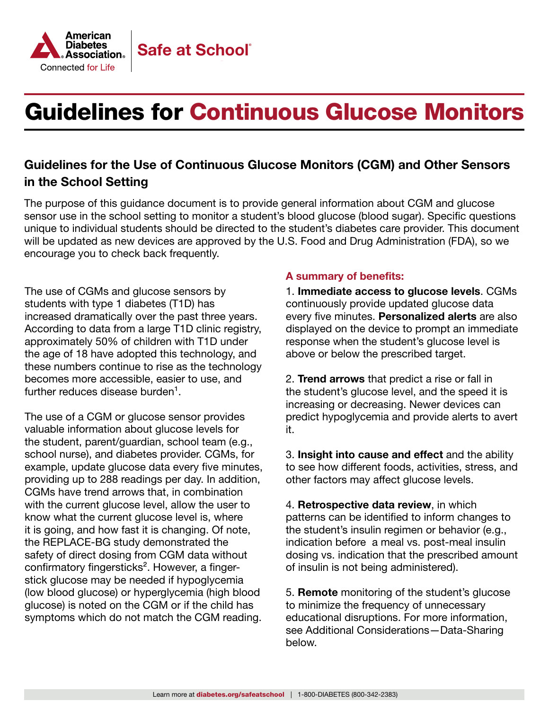

### Guidelines for the Use of Continuous Glucose Monitors (CGM) and Other Sensors in the School Setting

The purpose of this guidance document is to provide general information about CGM and glucose sensor use in the school setting to monitor a student's blood glucose (blood sugar). Specific questions unique to individual students should be directed to the student's diabetes care provider. This document will be updated as new devices are approved by the U.S. Food and Drug Administration (FDA), so we encourage you to check back frequently.

The use of CGMs and glucose sensors by students with type 1 diabetes (T1D) has increased dramatically over the past three years. According to data from a large T1D clinic registry, approximately 50% of children with T1D under the age of 18 have adopted this technology, and these numbers continue to rise as the technology becomes more accessible, easier to use, and further reduces disease burden $<sup>1</sup>$ .</sup>

The use of a CGM or glucose sensor provides valuable information about glucose levels for the student, parent/guardian, school team (e.g., school nurse), and diabetes provider. CGMs, for example, update glucose data every five minutes, providing up to 288 readings per day. In addition, CGMs have trend arrows that, in combination with the current glucose level, allow the user to know what the current glucose level is, where it is going, and how fast it is changing. Of note, the REPLACE-BG study demonstrated the safety of direct dosing from CGM data without confirmatory fingersticks². However, a fingerstick glucose may be needed if hypoglycemia (low blood glucose) or hyperglycemia (high blood glucose) is noted on the CGM or if the child has symptoms which do not match the CGM reading.

#### A summary of benefits:

1. Immediate access to glucose levels. CGMs continuously provide updated glucose data every five minutes. Personalized alerts are also displayed on the device to prompt an immediate response when the student's glucose level is above or below the prescribed target.

2. Trend arrows that predict a rise or fall in the student's glucose level, and the speed it is increasing or decreasing. Newer devices can predict hypoglycemia and provide alerts to avert it.

3. Insight into cause and effect and the ability to see how different foods, activities, stress, and other factors may affect glucose levels.

4. Retrospective data review, in which patterns can be identified to inform changes to the student's insulin regimen or behavior (e.g., indication before a meal vs. post-meal insulin dosing vs. indication that the prescribed amount of insulin is not being administered).

5. Remote monitoring of the student's glucose to minimize the frequency of unnecessary educational disruptions. For more information, see Additional Considerations—Data-Sharing below.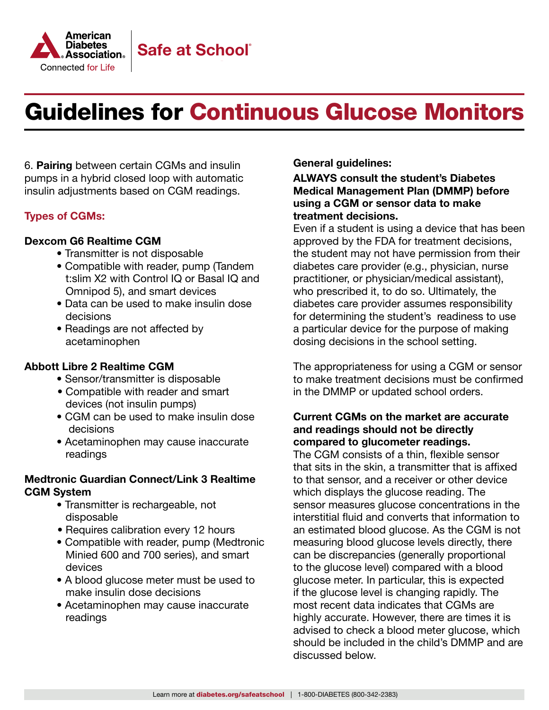

6. Pairing between certain CGMs and insulin pumps in a hybrid closed loop with automatic insulin adjustments based on CGM readings.

### Types of CGMs:

#### [Dexcom G6 Realtime CGM](https://www.dexcom.com/)

- Transmitter is not disposable
- Compatible with reader, pump (Tandem t:slim X2 with Control IQ or Basal IQ and Omnipod 5), and smart devices
- Data can be used to make insulin dose decisions
- Readings are not affected by acetaminophen

#### [Abbott Libre 2 Realtime CGM](http://Abbott Libre 2 Realtime CGM)

- Sensor/transmitter is disposable
- Compatible with reader and smart devices (not insulin pumps)
- CGM can be used to make insulin dose decisions
- Acetaminophen may cause inaccurate readings

#### [Medtronic Guardian Connect/Link 3 Realtime](https://www.medtronicdiabetes.com/home)  [CGM System](https://www.medtronicdiabetes.com/home)

- Transmitter is rechargeable, not disposable
- Requires calibration every 12 hours
- Compatible with reader, pump (Medtronic Minied 600 and 700 series), and smart devices
- A blood glucose meter must be used to make insulin dose decisions
- Acetaminophen may cause inaccurate readings

General guidelines:

ALWAYS consult the student's Diabetes Medical Management Plan (DMMP) before using a CGM or sensor data to make treatment decisions.

Even if a student is using a device that has been approved by the FDA for treatment decisions, the student may not have permission from their diabetes care provider (e.g., physician, nurse practitioner, or physician/medical assistant), who prescribed it, to do so. Ultimately, the diabetes care provider assumes responsibility for determining the student's readiness to use a particular device for the purpose of making dosing decisions in the school setting.

The appropriateness for using a CGM or sensor to make treatment decisions must be confirmed in the DMMP or updated school orders.

### Current CGMs on the market are accurate and readings should not be directly compared to glucometer readings.

The CGM consists of a thin, flexible sensor that sits in the skin, a transmitter that is affixed to that sensor, and a receiver or other device which displays the glucose reading. The sensor measures glucose concentrations in the interstitial fluid and converts that information to an estimated blood glucose. As the CGM is not measuring blood glucose levels directly, there can be discrepancies (generally proportional to the glucose level) compared with a blood glucose meter. In particular, this is expected if the glucose level is changing rapidly. The most recent data indicates that CGMs are highly accurate. However, there are times it is advised to check a blood meter glucose, which should be included in the child's DMMP and are discussed below.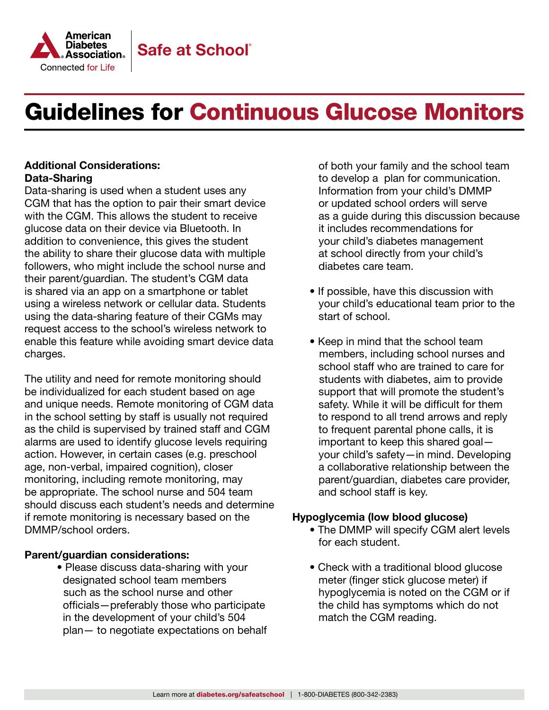

#### Additional Considerations: Data-Sharing

Data-sharing is used when a student uses any CGM that has the option to pair their smart device with the CGM. This allows the student to receive glucose data on their device via Bluetooth. In addition to convenience, this gives the student the ability to share their glucose data with multiple followers, who might include the school nurse and their parent/guardian. The student's CGM data is shared via an app on a smartphone or tablet using a wireless network or cellular data. Students using the data-sharing feature of their CGMs may request access to the school's wireless network to enable this feature while avoiding smart device data charges.

The utility and need for remote monitoring should be individualized for each student based on age and unique needs. Remote monitoring of CGM data in the school setting by staff is usually not required as the child is supervised by trained staff and CGM alarms are used to identify glucose levels requiring action. However, in certain cases (e.g. preschool age, non-verbal, impaired cognition), closer monitoring, including remote monitoring, may be appropriate. The school nurse and 504 team should discuss each student's needs and determine if remote monitoring is necessary based on the DMMP/school orders.

#### Parent/guardian considerations:

• Please discuss data-sharing with your designated school team members such as the school nurse and other officials—preferably those who participate in the development of your child's 504 plan— to negotiate expectations on behalf  of both your family and the school team to develop a plan for communication. Information from your child's DMMP or updated school orders will serve as a guide during this discussion because it includes recommendations for your child's diabetes management at school directly from your child's diabetes care team.

- If possible, have this discussion with your child's educational team prior to the start of school.
- Keep in mind that the school team members, including school nurses and school staff who are trained to care for students with diabetes, aim to provide support that will promote the student's safety. While it will be difficult for them to respond to all trend arrows and reply to frequent parental phone calls, it is important to keep this shared goal your child's safety—in mind. Developing a collaborative relationship between the parent/guardian, diabetes care provider, and school staff is key.

#### Hypoglycemia (low blood glucose)

- The DMMP will specify CGM alert levels for each student.
- Check with a traditional blood glucose meter (finger stick glucose meter) if hypoglycemia is noted on the CGM or if the child has symptoms which do not match the CGM reading.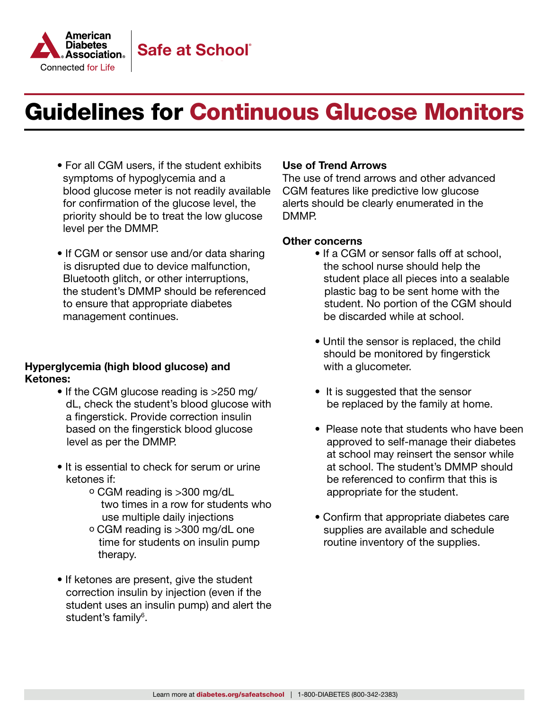

- For all CGM users, if the student exhibits symptoms of hypoglycemia and a blood glucose meter is not readily available for confirmation of the glucose level, the priority should be to treat the low glucose level per the DMMP.
- If CGM or sensor use and/or data sharing is disrupted due to device malfunction, Bluetooth glitch, or other interruptions, the student's DMMP should be referenced to ensure that appropriate diabetes management continues.

#### Hyperglycemia (high blood glucose) and Ketones:

- If the CGM glucose reading is >250 mg/ dL, check the student's blood glucose with a fingerstick. Provide correction insulin based on the fingerstick blood glucose level as per the DMMP.
- It is essential to check for serum or urine ketones if:
	- o CGM reading is >300 mg/dL two times in a row for students who use multiple daily injections
	- o CGM reading is >300 mg/dL one time for students on insulin pump therapy.
- If ketones are present, give the student correction insulin by injection (even if the student uses an insulin pump) and alert the student's family<sup>6</sup>.

#### Use of Trend Arrows

The use of trend arrows and other advanced CGM features like predictive low glucose alerts should be clearly enumerated in the DMMP.

#### Other concerns

- If a CGM or sensor falls off at school, the school nurse should help the student place all pieces into a sealable plastic bag to be sent home with the student. No portion of the CGM should be discarded while at school.
- Until the sensor is replaced, the child should be monitored by fingerstick with a glucometer.
- It is suggested that the sensor be replaced by the family at home.
- Please note that students who have been approved to self-manage their diabetes at school may reinsert the sensor while at school. The student's DMMP should be referenced to confirm that this is appropriate for the student.
- Confirm that appropriate diabetes care supplies are available and schedule routine inventory of the supplies.